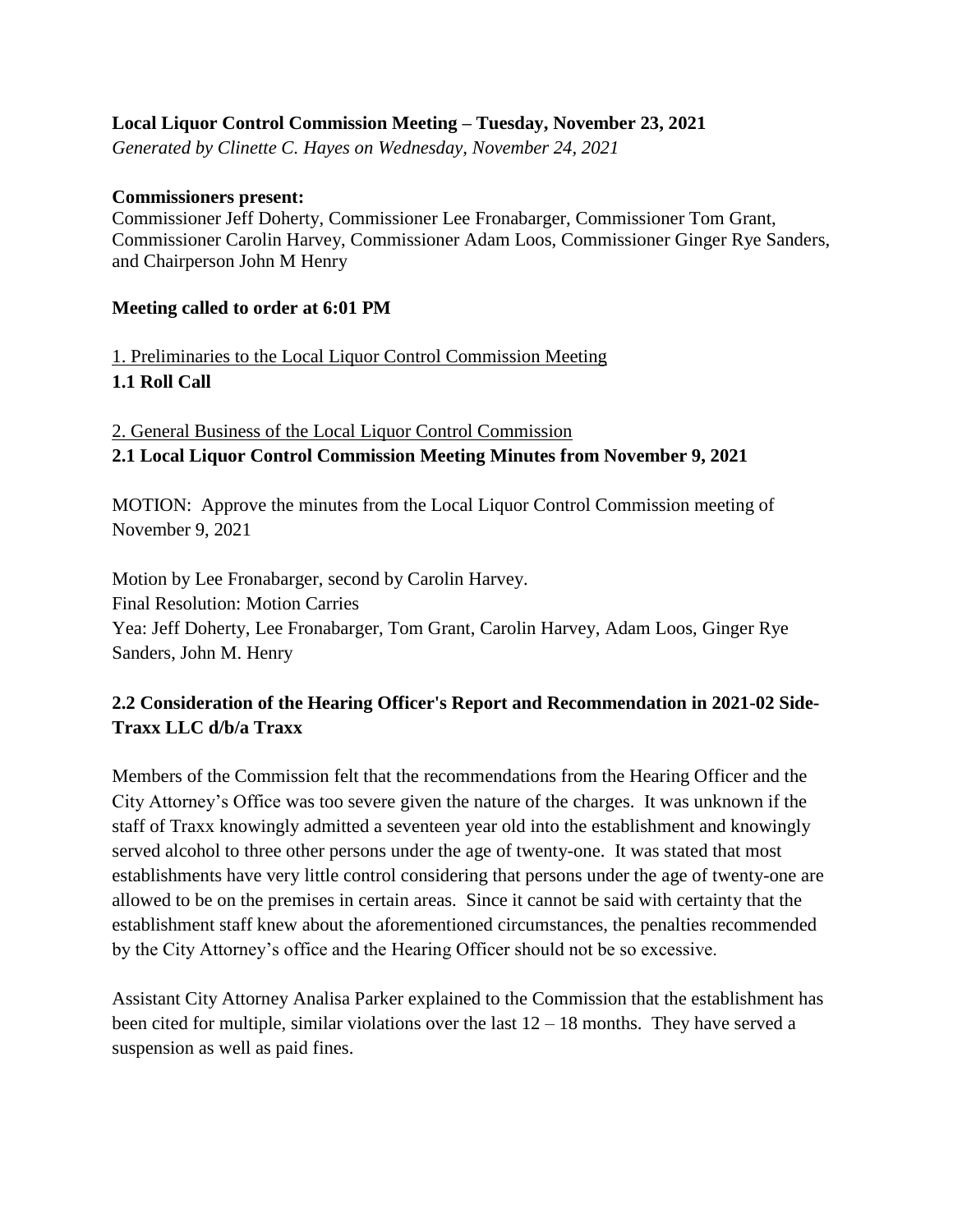## **Local Liquor Control Commission Meeting – Tuesday, November 23, 2021**

*Generated by Clinette C. Hayes on Wednesday, November 24, 2021*

## **Commissioners present:**

Commissioner Jeff Doherty, Commissioner Lee Fronabarger, Commissioner Tom Grant, Commissioner Carolin Harvey, Commissioner Adam Loos, Commissioner Ginger Rye Sanders, and Chairperson John M Henry

## **Meeting called to order at 6:01 PM**

1. Preliminaries to the Local Liquor Control Commission Meeting **1.1 Roll Call**

2. General Business of the Local Liquor Control Commission **2.1 Local Liquor Control Commission Meeting Minutes from November 9, 2021**

MOTION: Approve the minutes from the Local Liquor Control Commission meeting of November 9, 2021

Motion by Lee Fronabarger, second by Carolin Harvey. Final Resolution: Motion Carries Yea: Jeff Doherty, Lee Fronabarger, Tom Grant, Carolin Harvey, Adam Loos, Ginger Rye Sanders, John M. Henry

## **2.2 Consideration of the Hearing Officer's Report and Recommendation in 2021-02 Side-Traxx LLC d/b/a Traxx**

Members of the Commission felt that the recommendations from the Hearing Officer and the City Attorney's Office was too severe given the nature of the charges. It was unknown if the staff of Traxx knowingly admitted a seventeen year old into the establishment and knowingly served alcohol to three other persons under the age of twenty-one. It was stated that most establishments have very little control considering that persons under the age of twenty-one are allowed to be on the premises in certain areas. Since it cannot be said with certainty that the establishment staff knew about the aforementioned circumstances, the penalties recommended by the City Attorney's office and the Hearing Officer should not be so excessive.

Assistant City Attorney Analisa Parker explained to the Commission that the establishment has been cited for multiple, similar violations over the last  $12 - 18$  months. They have served a suspension as well as paid fines.